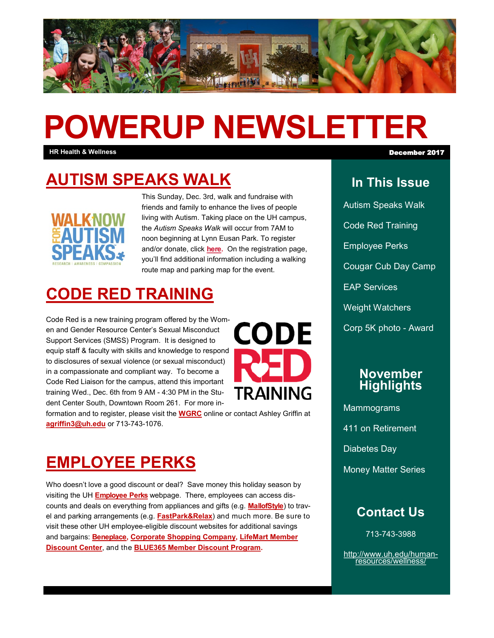

# **POWERUP NEWSLETTER**

**HR Health & Wellness** December 2017

# **[AUTISM SPEAKS WALK](http://act.autismspeaks.org/site/TR/Walk/Texas?pg=entry&fr_id=3023)**



This Sunday, Dec. 3rd, walk and fundraise with friends and family to enhance the lives of people living with Autism. Taking place on the UH campus, the *Autism Speaks Walk* will occur from 7AM to noon beginning at Lynn Eusan Park. To register and/or donate, click **[here.](http://act.autismspeaks.org/site/TR/Walk/Texas?pg=entry&fr_id=3023)** On the registration page, you'll find additional information including a walking route map and parking map for the event.

### **[CODE RED TRAINING](http://www.uh.edu/wgrc/)**

Code Red is a new training program offered by the Women and Gender Resource Center's Sexual Misconduct Support Services (SMSS) Program. It is designed to equip staff & faculty with skills and knowledge to respond to disclosures of sexual violence (or sexual misconduct) in a compassionate and compliant way. To become a Code Red Liaison for the campus, attend this important training Wed., Dec. 6th from 9 AM - 4:30 PM in the Student Center South, Downtown Room 261. For more in-



formation and to register, please visit the **[WGRC](http://www.uh.edu/wgrc)** online or contact Ashley Griffin at **[agriffin3@uh.edu](mailto:agriffin3@uh.edu)** or 713-743-1076.

## **[EMPLOYEE PERKS](http://www.uh.edu/work-life/employee-perks/)**

Who doesn't love a good discount or deal? Save money this holiday season by visiting the UH **[Employee Perks](http://www.uh.edu/work-life/employee-perks/)** webpage. There, employees can access discounts and deals on everything from appliances and gifts (e.g. **[MallofStyle](https://mallofstyle.com/shop/)**) to travel and parking arrangements (e.g. **[FastPark&Relax](http://enrollnow.thefastpark.com/68a1d4e6-1f41-4337-b05e-a084434b6886)**) and much more. Be sure to visit these other UH employee-eligible discount websites for additional savings and bargains: **[Beneplace,](http://www.beneplace.com/home.jsp?Client_UserId=7195457) [Corporate Shopping Company,](https://corporateshopping.com/login/uh) [LifeMart Member](https://discountmember.lifecare.com/registration/register1.rtml?service=registration&member=1&corp_or_ccode=WKFMY&partnertoken=workfamily-111416)  [Discount Center](https://discountmember.lifecare.com/registration/register1.rtml?service=registration&member=1&corp_or_ccode=WKFMY&partnertoken=workfamily-111416)**, and the **[BLUE365 Member Discount Program.](https://www.bcbstx.com/member/advantages-of-membership/blue365-discount-program)**

### **In This Issue**

Autism Speaks Walk Code Red Training Employee Perks Cougar Cub Day Camp EAP Services Weight Watchers Corp 5K photo - Award

#### **November Highlights**

**Mammograms** 411 on Retirement Diabetes Day Money Matter Series

### **Contact Us**

713-743-3988

[http://www.uh.edu/human](http://uhhelpdesk.custhelp.com/rd?1=AvNw~wqPDv8S~x7zGl1m~yKZAFsohC77Mv~m~z7~Pv8v&2=26669)[resources/wellness/](http://uhhelpdesk.custhelp.com/rd?1=AvNw~wqPDv8S~x7zGl1m~yKZAFsohC77Mv~m~z7~Pv8v&2=26669)